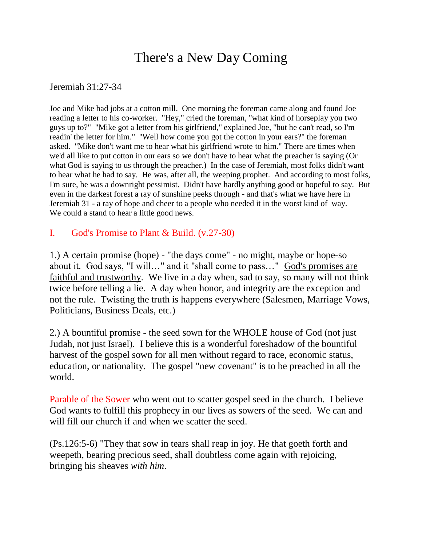## There's a New Day Coming

## Jeremiah 31:27-34

Joe and Mike had jobs at a cotton mill. One morning the foreman came along and found Joe reading a letter to his co-worker. "Hey," cried the foreman, "what kind of horseplay you two guys up to?" "Mike got a letter from his girlfriend," explained Joe, "but he can't read, so I'm readin' the letter for him." "Well how come you got the cotton in your ears?" the foreman asked. "Mike don't want me to hear what his girlfriend wrote to him." There are times when we'd all like to put cotton in our ears so we don't have to hear what the preacher is saying (Or what God is saying to us through the preacher.) In the case of Jeremiah, most folks didn't want to hear what he had to say. He was, after all, the weeping prophet. And according to most folks, I'm sure, he was a downright pessimist. Didn't have hardly anything good or hopeful to say. But even in the darkest forest a ray of sunshine peeks through - and that's what we have here in Jeremiah 31 - a ray of hope and cheer to a people who needed it in the worst kind of way. We could a stand to hear a little good news.

## I. God's Promise to Plant & Build. (v.27-30)

1.) A certain promise (hope) - "the days come" - no might, maybe or hope-so about it. God says, "I will…" and it "shall come to pass…" God's promises are faithful and trustworthy. We live in a day when, sad to say, so many will not think twice before telling a lie. A day when honor, and integrity are the exception and not the rule. Twisting the truth is happens everywhere (Salesmen, Marriage Vows, Politicians, Business Deals, etc.)

2.) A bountiful promise - the seed sown for the WHOLE house of God (not just Judah, not just Israel). I believe this is a wonderful foreshadow of the bountiful harvest of the gospel sown for all men without regard to race, economic status, education, or nationality. The gospel "new covenant" is to be preached in all the world.

Parable of the Sower who went out to scatter gospel seed in the church. I believe God wants to fulfill this prophecy in our lives as sowers of the seed. We can and will fill our church if and when we scatter the seed.

(Ps.126:5-6) "They that sow in tears shall reap in joy. He that goeth forth and weepeth, bearing precious seed, shall doubtless come again with rejoicing, bringing his sheaves *with him*.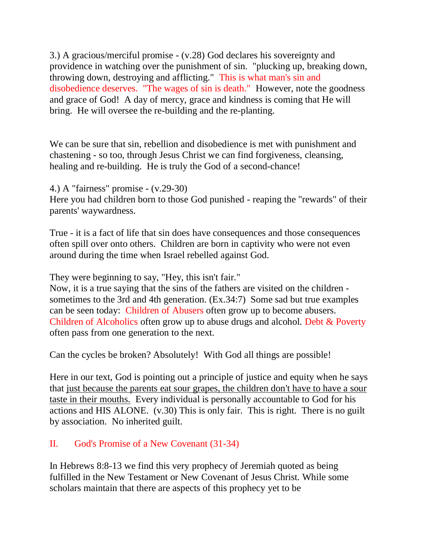3.) A gracious/merciful promise - (v.28) God declares his sovereignty and providence in watching over the punishment of sin. "plucking up, breaking down, throwing down, destroying and afflicting." This is what man's sin and disobedience deserves. "The wages of sin is death." However, note the goodness and grace of God! A day of mercy, grace and kindness is coming that He will bring. He will oversee the re-building and the re-planting.

We can be sure that sin, rebellion and disobedience is met with punishment and chastening - so too, through Jesus Christ we can find forgiveness, cleansing, healing and re-building. He is truly the God of a second-chance!

4.) A "fairness" promise - (v.29-30)

Here you had children born to those God punished - reaping the "rewards" of their parents' waywardness.

True - it is a fact of life that sin does have consequences and those consequences often spill over onto others. Children are born in captivity who were not even around during the time when Israel rebelled against God.

They were beginning to say, "Hey, this isn't fair."

Now, it is a true saying that the sins of the fathers are visited on the children sometimes to the 3rd and 4th generation. (Ex.34:7) Some sad but true examples can be seen today: Children of Abusers often grow up to become abusers. Children of Alcoholics often grow up to abuse drugs and alcohol. Debt & Poverty often pass from one generation to the next.

Can the cycles be broken? Absolutely! With God all things are possible!

Here in our text, God is pointing out a principle of justice and equity when he says that just because the parents eat sour grapes, the children don't have to have a sour taste in their mouths. Every individual is personally accountable to God for his actions and HIS ALONE. (v.30) This is only fair. This is right. There is no guilt by association. No inherited guilt.

## II. God's Promise of a New Covenant (31-34)

In Hebrews 8:8-13 we find this very prophecy of Jeremiah quoted as being fulfilled in the New Testament or New Covenant of Jesus Christ. While some scholars maintain that there are aspects of this prophecy yet to be